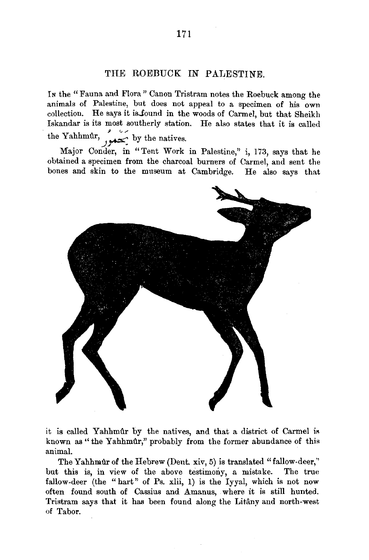## THE ROEBUCK IN PALESTINE.

In the "Fauna and Flora" Canon Tristram notes the Roebuck among the animals of Palestine, but does not appeal to a specimen of his own collection. He says it is-found in the woods of Carmel, but that Sheikh Iskandar is its most southerly station. He also states that it is called the Yahhmûr, by the natives.

Major Conder, in " Tent Work in Palestine," i, 173, says that he obtained a specimen from the charcoal burners of Oarmel, and sent the bones and skin to the museum at Cambridge. He also says that



it is called Yahhmûr by the natives, and that a district of Carmel is known as "the Yahhmûr," probably from the former abundance of this animal.

The Yahhmûr of the Hebrew (Dent. xiv, 5) is translated "fallow-deer," but this is, in view of the above testimony, a mistake. The true fallow-deer (the "hart" of Ps. xlii, 1) is the Iyyal, which is not now often found south of Cassius and Amanus, where it is still hunted. Tristram says that it has been found along the Litany and north-west of Tabor.